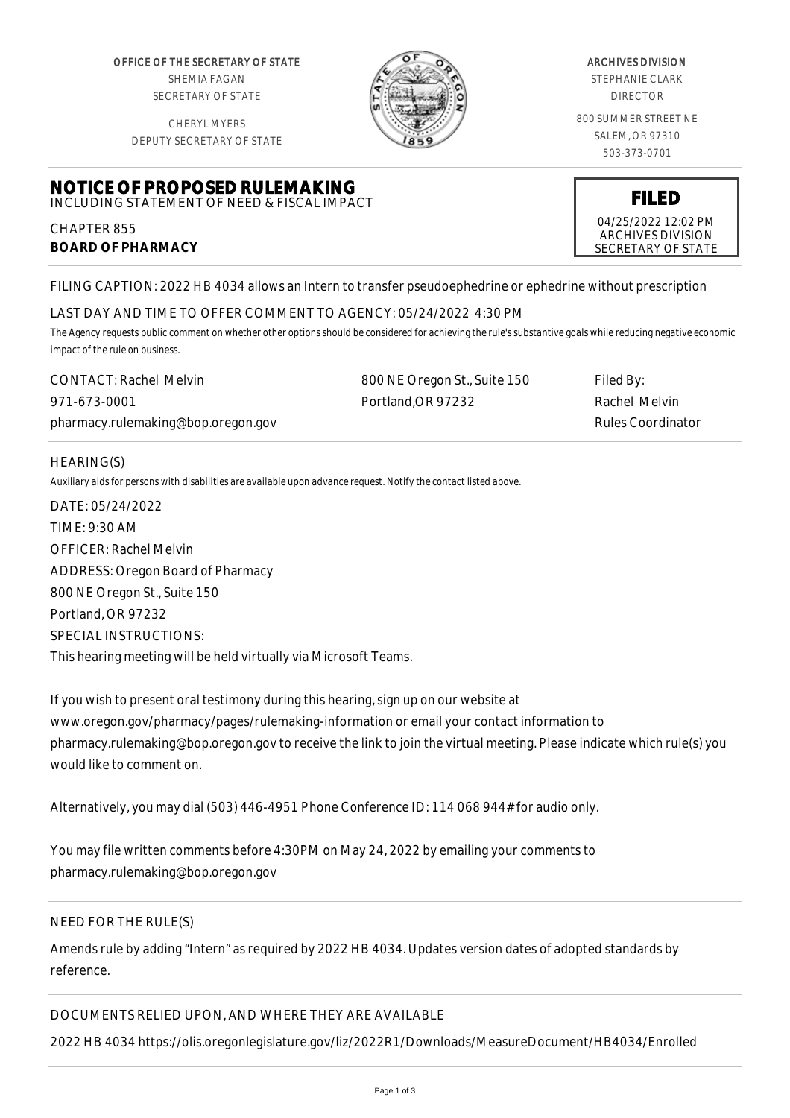OFFICE OF THE SECRETARY OF STATE SHEMIA FAGAN SECRETARY OF STATE

CHERYL MYERS



#### ARCHIVES DIVISION

STEPHANIE CLARK DIRECTOR

800 SUMMER STREET NE SALEM, OR 97310 503-373-0701

> **FILED** 04/25/2022 12:02 PM ARCHIVES DIVISION SECRETARY OF STATE

DEPUTY SECRETARY OF STATE

# **NOTICE OF PROPOSED RULEMAKING** INCLUDING STATEMENT OF NEED & FISCAL IMPACT

CHAPTER 855 **BOARD OF PHARMACY**

FILING CAPTION: 2022 HB 4034 allows an Intern to transfer pseudoephedrine or ephedrine without prescription

# LAST DAY AND TIME TO OFFER COMMENT TO AGENCY: 05/24/2022 4:30 PM

*The Agency requests public comment on whether other options should be considered for achieving the rule's substantive goals while reducing negative economic impact of the rule on business.*

| <b>CONTACT: Rachel Melvin</b>      | 800 NE Oregon St., Suite 150 | Filed By:         |
|------------------------------------|------------------------------|-------------------|
| 971-673-0001                       | Portland, OR 97232           | Rachel Melvin     |
| pharmacy.rulemaking@bop.oregon.gov |                              | Rules Coordinator |

## HEARING(S)

*Auxiliary aids for persons with disabilities are available upon advance request. Notify the contact listed above.*

DATE: 05/24/2022 TIME: 9:30 AM OFFICER: Rachel Melvin ADDRESS: Oregon Board of Pharmacy 800 NE Oregon St., Suite 150 Portland, OR 97232 SPECIAL INSTRUCTIONS: This hearing meeting will be held virtually via Microsoft Teams.

If you wish to present oral testimony during this hearing, sign up on our website at www.oregon.gov/pharmacy/pages/rulemaking-information or email your contact information to pharmacy.rulemaking@bop.oregon.gov to receive the link to join the virtual meeting. Please indicate which rule(s) you would like to comment on.

Alternatively, you may dial (503) 446-4951 Phone Conference ID: 114 068 944# for audio only.

You may file written comments before 4:30PM on May 24, 2022 by emailing your comments to pharmacy.rulemaking@bop.oregon.gov

# NEED FOR THE RULE(S)

Amends rule by adding "Intern" as required by 2022 HB 4034. Updates version dates of adopted standards by reference.

DOCUMENTS RELIED UPON, AND WHERE THEY ARE AVAILABLE

2022 HB 4034 https://olis.oregonlegislature.gov/liz/2022R1/Downloads/MeasureDocument/HB4034/Enrolled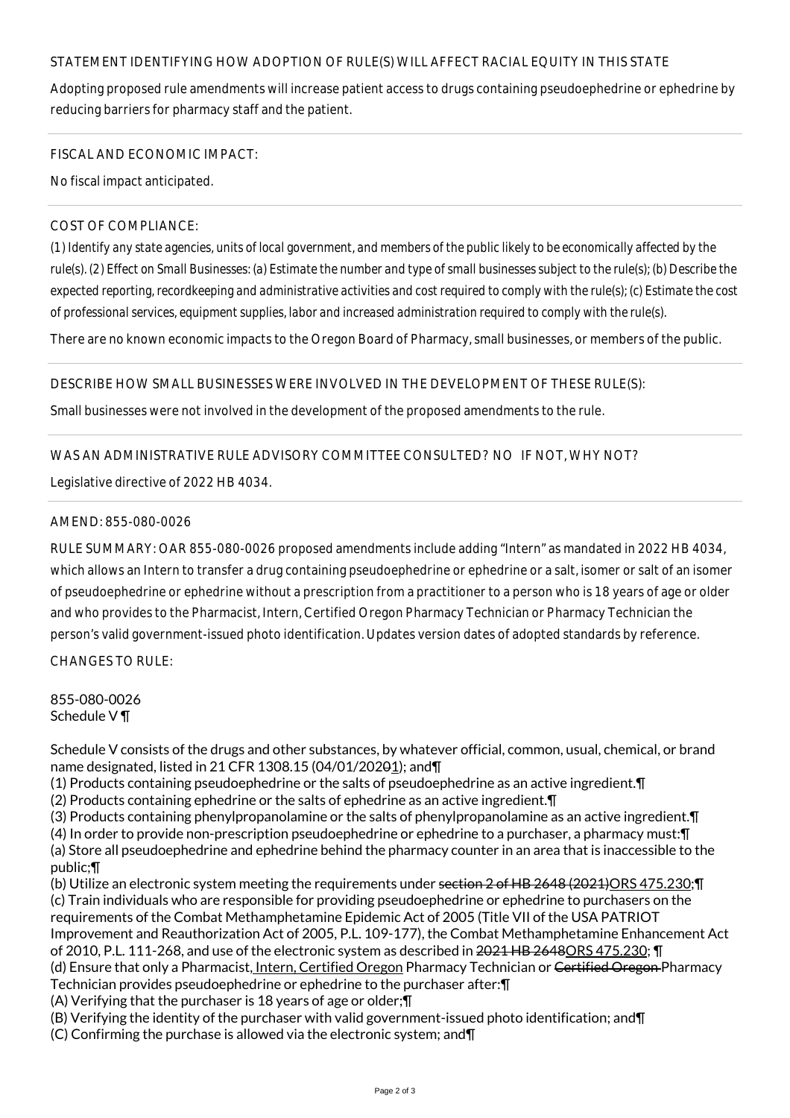# STATEMENT IDENTIFYING HOW ADOPTION OF RULE(S) WILL AFFECT RACIAL EQUITY IN THIS STATE

Adopting proposed rule amendments will increase patient access to drugs containing pseudoephedrine or ephedrine by reducing barriers for pharmacy staff and the patient.

#### FISCAL AND ECONOMIC IMPACT:

No fiscal impact anticipated.

#### COST OF COMPLIANCE:

*(1) Identify any state agencies, units of local government, and members of the public likely to be economically affected by the rule(s). (2) Effect on Small Businesses: (a) Estimate the number and type of small businesses subject to the rule(s); (b) Describe the expected reporting, recordkeeping and administrative activities and cost required to comply with the rule(s); (c) Estimate the cost of professional services, equipment supplies, labor and increased administration required to comply with the rule(s).*

There are no known economic impacts to the Oregon Board of Pharmacy, small businesses, or members of the public.

## DESCRIBE HOW SMALL BUSINESSES WERE INVOLVED IN THE DEVELOPMENT OF THESE RULE(S):

Small businesses were not involved in the development of the proposed amendments to the rule.

## WAS AN ADMINISTRATIVE RULE ADVISORY COMMITTEE CONSULTED? NO IF NOT, WHY NOT?

Legislative directive of 2022 HB 4034.

## AMEND: 855-080-0026

RULE SUMMARY: OAR 855-080-0026 proposed amendments include adding "Intern" as mandated in 2022 HB 4034, which allows an Intern to transfer a drug containing pseudoephedrine or ephedrine or a salt, isomer or salt of an isomer of pseudoephedrine or ephedrine without a prescription from a practitioner to a person who is 18 years of age or older and who provides to the Pharmacist, Intern, Certified Oregon Pharmacy Technician or Pharmacy Technician the person's valid government-issued photo identification. Updates version dates of adopted standards by reference.

CHANGES TO RULE:

855-080-0026 Schedule V ¶

Schedule V consists of the drugs and other substances, by whatever official, common, usual, chemical, or brand name designated, listed in 21 CFR 1308.15 (04/01/20201); and¶

- (1) Products containing pseudoephedrine or the salts of pseudoephedrine as an active ingredient.¶
- (2) Products containing ephedrine or the salts of ephedrine as an active ingredient.¶
- (3) Products containing phenylpropanolamine or the salts of phenylpropanolamine as an active ingredient.¶
- (4) In order to provide non-prescription pseudoephedrine or ephedrine to a purchaser, a pharmacy must:¶
- (a) Store all pseudoephedrine and ephedrine behind the pharmacy counter in an area that is inaccessible to the public;¶
- (b) Utilize an electronic system meeting the requirements under section 2 of HB 2648 (2021)ORS 475.230; T (c) Train individuals who are responsible for providing pseudoephedrine or ephedrine to purchasers on the requirements of the Combat Methamphetamine Epidemic Act of 2005 (Title VII of the USA PATRIOT Improvement and Reauthorization Act of 2005, P.L. 109-177), the Combat Methamphetamine Enhancement Act of 2010, P.L. 111-268, and use of the electronic system as described in 2021 HB 2648ORS 475.230; T (d) Ensure that only a Pharmacist, Intern, Certified Oregon Pharmacy Technician or Certified Oregon Pharmacy Technician provides pseudoephedrine or ephedrine to the purchaser after:¶
- (A) Verifying that the purchaser is 18 years of age or older;¶
- (B) Verifying the identity of the purchaser with valid government-issued photo identification; and¶
- (C) Confirming the purchase is allowed via the electronic system; and¶